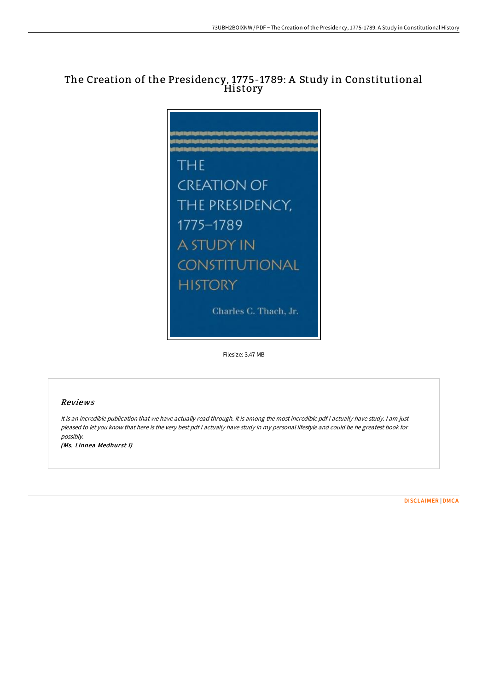# The Creation of the Presidency, 1775-1789: A Study in Constitutional History



Filesize: 3.47 MB

## Reviews

It is an incredible publication that we have actually read through. It is among the most incredible pdf i actually have study. <sup>I</sup> am just pleased to let you know that here is the very best pdf i actually have study in my personal lifestyle and could be he greatest book for possibly.

(Ms. Linnea Medhurst I)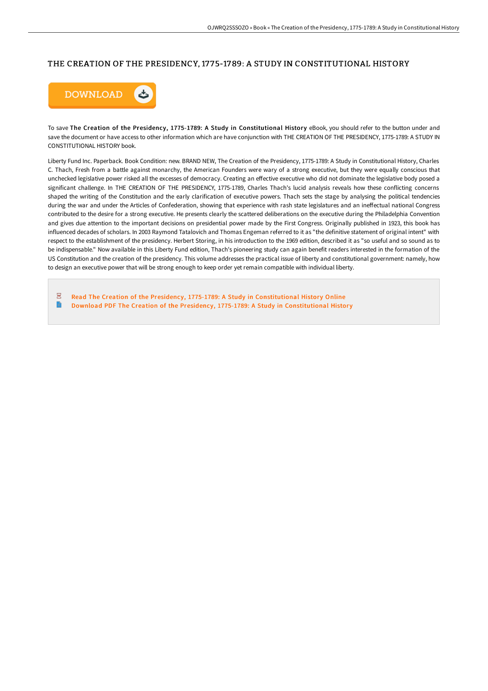# THE CREATION OF THE PRESIDENCY, 1775-1789: A STUDY IN CONSTITUTIONAL HISTORY



To save The Creation of the Presidency, 1775-1789: A Study in Constitutional History eBook, you should refer to the button under and save the document or have access to other information which are have conjunction with THE CREATION OF THE PRESIDENCY, 1775-1789: A STUDY IN CONSTITUTIONAL HISTORY book.

Liberty Fund Inc. Paperback. Book Condition: new. BRAND NEW, The Creation of the Presidency, 1775-1789: A Study in Constitutional History, Charles C. Thach, Fresh from a battle against monarchy, the American Founders were wary of a strong executive, but they were equally conscious that unchecked legislative power risked all the excesses of democracy. Creating an eFective executive who did not dominate the legislative body posed a significant challenge. In THE CREATION OF THE PRESIDENCY, 1775-1789, Charles Thach's lucid analysis reveals how these conflicting concerns shaped the writing of the Constitution and the early clarification of executive powers. Thach sets the stage by analysing the political tendencies during the war and under the Articles of Confederation, showing that experience with rash state legislatures and an ineFectual national Congress contributed to the desire for a strong executive. He presents clearly the scattered deliberations on the executive during the Philadelphia Convention and gives due attention to the important decisions on presidential power made by the First Congress. Originally published in 1923, this book has influenced decades of scholars. In 2003 Raymond Tatalovich and Thomas Engeman referred to it as "the definitive statement of original intent" with respect to the establishment of the presidency. Herbert Storing, in his introduction to the 1969 edition, described it as "so useful and so sound as to be indispensable." Now available in this Liberty Fund edition, Thach's pioneering study can again benefit readers interested in the formation of the US Constitution and the creation of the presidency. This volume addresses the practical issue of liberty and constitutional government: namely, how to design an executive power that will be strong enough to keep order yet remain compatible with individual liberty.

 $PDF$ Read The Creation of the Presidency, 1775-1789: A Study in [Constitutional](http://techno-pub.tech/the-creation-of-the-presidency-1775-1789-a-study.html) History Online **P** Download PDF The Creation of the Presidency, 1775-1789: A Study in [Constitutional](http://techno-pub.tech/the-creation-of-the-presidency-1775-1789-a-study.html) History